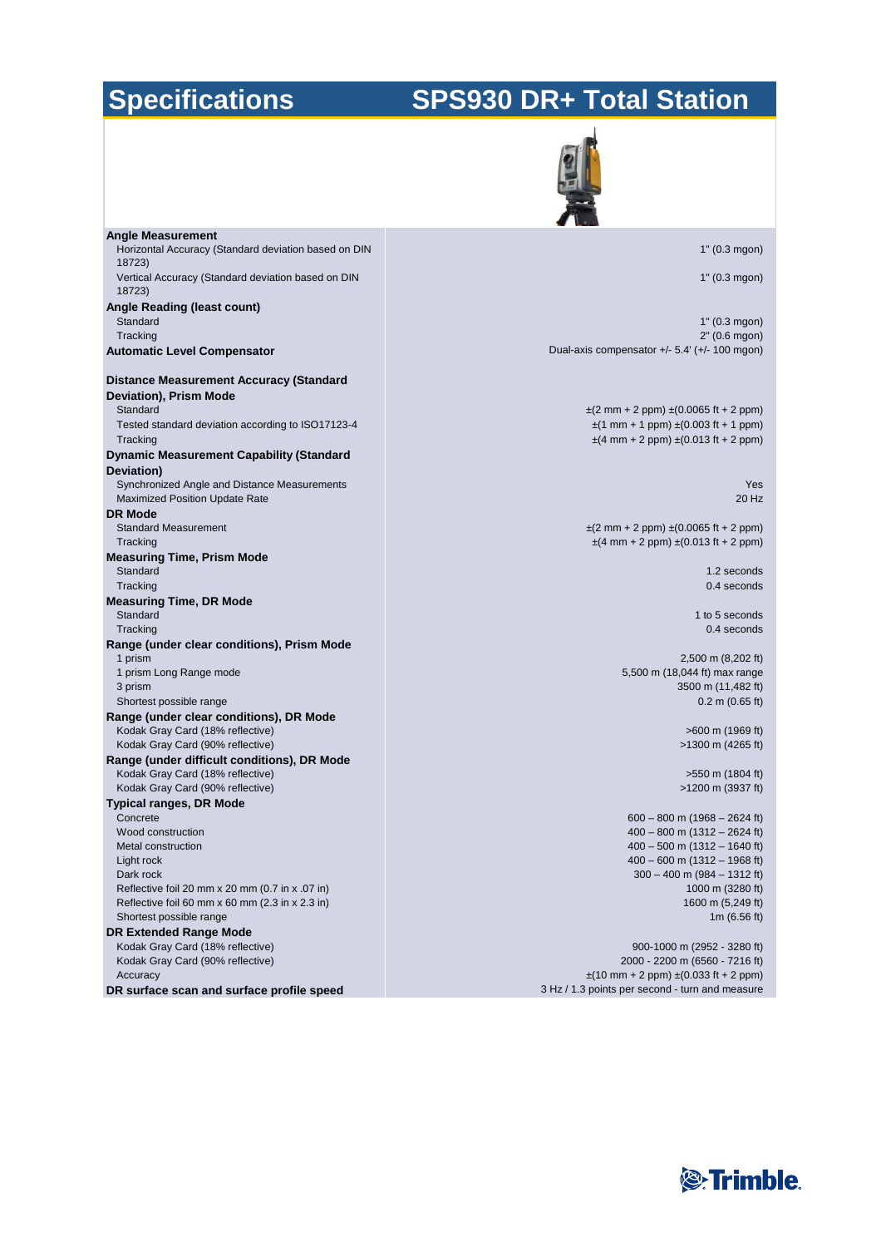# **Specifications**

# **SPS930 DR+ Total Station**

| <b>Angle Measurement</b>                                                 |                                                                                                |
|--------------------------------------------------------------------------|------------------------------------------------------------------------------------------------|
| Horizontal Accuracy (Standard deviation based on DIN<br>18723)           | 1" (0.3 mgon)                                                                                  |
| Vertical Accuracy (Standard deviation based on DIN<br>18723)             | 1" (0.3 mgon)                                                                                  |
| Angle Reading (least count)                                              |                                                                                                |
| Standard<br>Tracking                                                     | 1" (0.3 mgon)<br>2" (0.6 mgon)                                                                 |
| <b>Automatic Level Compensator</b>                                       | Dual-axis compensator $+/- 5.4' (+/- 100$ mgon)                                                |
| <b>Distance Measurement Accuracy (Standard</b><br>Deviation), Prism Mode |                                                                                                |
| Standard                                                                 | $\pm$ (2 mm + 2 ppm) $\pm$ (0.0065 ft + 2 ppm)                                                 |
| Tested standard deviation according to ISO17123-4<br>Tracking            | $\pm$ (1 mm + 1 ppm) $\pm$ (0.003 ft + 1 ppm)<br>$\pm$ (4 mm + 2 ppm) $\pm$ (0.013 ft + 2 ppm) |
| <b>Dynamic Measurement Capability (Standard</b><br>Deviation)            |                                                                                                |
| Synchronized Angle and Distance Measurements                             | Yes                                                                                            |
| <b>Maximized Position Update Rate</b><br><b>DR Mode</b>                  | 20 Hz                                                                                          |
| <b>Standard Measurement</b>                                              | $\pm$ (2 mm + 2 ppm) $\pm$ (0.0065 ft + 2 ppm)                                                 |
| Tracking                                                                 | $\pm$ (4 mm + 2 ppm) $\pm$ (0.013 ft + 2 ppm)                                                  |
| <b>Measuring Time, Prism Mode</b><br>Standard                            | 1.2 seconds                                                                                    |
| Tracking<br><b>Measuring Time, DR Mode</b>                               | 0.4 seconds                                                                                    |
| Standard                                                                 | 1 to 5 seconds                                                                                 |
| Tracking                                                                 | 0.4 seconds                                                                                    |
| Range (under clear conditions), Prism Mode                               |                                                                                                |
| 1 prism<br>1 prism Long Range mode                                       | 2,500 m (8,202 ft)<br>5,500 m (18,044 ft) max range                                            |
| 3 prism                                                                  | 3500 m (11,482 ft)                                                                             |
| Shortest possible range                                                  | $0.2 \text{ m}$ (0.65 ft)                                                                      |
| Range (under clear conditions), DR Mode                                  |                                                                                                |
| Kodak Gray Card (18% reflective)<br>Kodak Gray Card (90% reflective)     | >600 m (1969 ft)<br>>1300 m (4265 ft)                                                          |
| Range (under difficult conditions), DR Mode                              |                                                                                                |
| Kodak Gray Card (18% reflective)                                         | >550 m (1804 ft)                                                                               |
| Kodak Gray Card (90% reflective)                                         | >1200 m (3937 ft)                                                                              |
| Typical ranges, DR Mode<br>Concrete                                      | $600 - 800$ m (1968 - 2624 ft)                                                                 |
| Wood construction                                                        | $400 - 800$ m $(1312 - 2624$ ft)                                                               |
| Metal construction                                                       | $400 - 500$ m (1312 - 1640 ft)                                                                 |
| Light rock                                                               | $400 - 600$ m $(1312 - 1968$ ft)                                                               |
| Dark rock<br>Reflective foil 20 mm x 20 mm (0.7 in x .07 in)             | $300 - 400$ m (984 - 1312 ft)<br>1000 m (3280 ft)                                              |
| Reflective foil 60 mm x 60 mm (2.3 in x 2.3 in)                          | 1600 m (5,249 ft)                                                                              |
| Shortest possible range                                                  | 1m $(6.56 \text{ ft})$                                                                         |
| <b>DR Extended Range Mode</b>                                            |                                                                                                |
| Kodak Gray Card (18% reflective)<br>Kodak Gray Card (90% reflective)     | 900-1000 m (2952 - 3280 ft)<br>2000 - 2200 m (6560 - 7216 ft)                                  |
| Accuracy                                                                 | $\pm$ (10 mm + 2 ppm) $\pm$ (0.033 ft + 2 ppm)                                                 |
| DR surface scan and surface profile speed                                | 3 Hz / 1.3 points per second - turn and measure                                                |

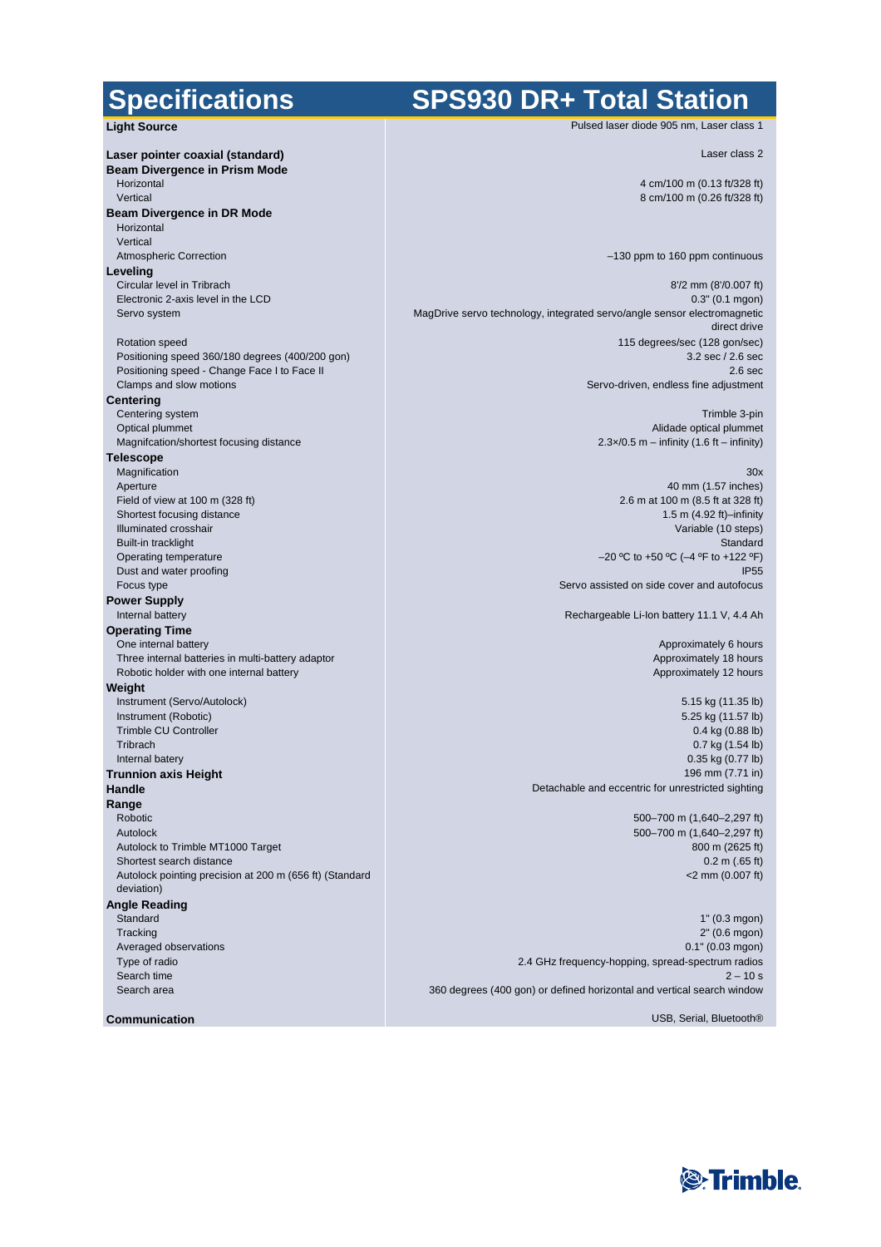#### **Specifications**

### **SPS930 DR+ Total Station**

Pulsed laser diode 905 nm, Laser class 1

Laser class 2

4 cm/100 m (0.13 ft/328 ft) 8 cm/100 m (0.26 ft/328 ft)

–130 ppm to 160 ppm continuous

8'/2 mm (8'/0.007 ft) 0.3" (0.1 mgon) MagDrive servo technology, integrated servo/angle sensor electromagnetic direct drive 115 degrees/sec (128 gon/sec) 3.2 sec / 2.6 sec 2.6 sec Servo-driven, endless fine adjustment

> Trimble 3-pin Alidade optical plummet  $2.3 \times 0.5$  m – infinity (1.6 ft – infinity)

> > $30x$ 40 mm (1.57 inches)

2.6 m at 100 m (8.5 ft at 328 ft) 1.5 m (4.92 ft)–infinity Variable (10 steps) **Standard** –20 ºC to +50 ºC (–4 ºF to +122 ºF) IP55 Servo assisted on side cover and autofocus

Rechargeable Li-Ion battery 11.1 V, 4.4 Ah

Approximately 6 hours Approximately 18 hours Approximately 12 hours

5.15 kg (11.35 lb) 5.25 kg (11.57 lb) 0.4 kg (0.88 lb) 0.7 kg (1.54 lb) 0.35 kg (0.77 lb) 196 mm (7.71 in) Detachable and eccentric for unrestricted sighting

> 500–700 m (1,640–2,297 ft) 500–700 m (1,640–2,297 ft) 800 m (2625 ft) 0.2 m (.65 ft) <2 mm (0.007 ft)

1" (0.3 mgon) 2" (0.6 mgon) 0.1" (0.03 mgon) 2.4 GHz frequency-hopping, spread-spectrum radios  $2 - 10 s$ 360 degrees (400 gon) or defined horizontal and vertical search window

USB, Serial, Bluetooth®

**Light Source Laser pointer coaxial (standard) Beam Divergence in Prism Mode** Horizontal Vertical **Beam Divergence in DR Mode** Horizontal Vertical Atmospheric Correction **Leveling** Circular level in Tribrach Electronic 2-axis level in the LCD Servo system Rotation speed Positioning speed 360/180 degrees (400/200 gon) Positioning speed - Change Face I to Face II Clamps and slow motions **Centering** Centering system Optical plummet Magnifcation/shortest focusing distance **Telescope** Magnification Aperture Field of view at 100 m (328 ft) Shortest focusing distance Illuminated crosshair Built-in tracklight Operating temperature Dust and water proofing Focus type **Power Supply** Internal battery **Operating Time** One internal battery Three internal batteries in multi-battery adaptor Robotic holder with one internal battery **Weight** Instrument (Servo/Autolock) Instrument (Robotic) Trimble CU Controller **Tribrach** Internal batery **Trunnion axis Height Handle Range** Robotic Autolock Autolock to Trimble MT1000 Target Shortest search distance Autolock pointing precision at 200 m (656 ft) (Standard deviation) **Angle Reading Standard Tracking** Averaged observations Type of radio Search time Search area

**Communication**